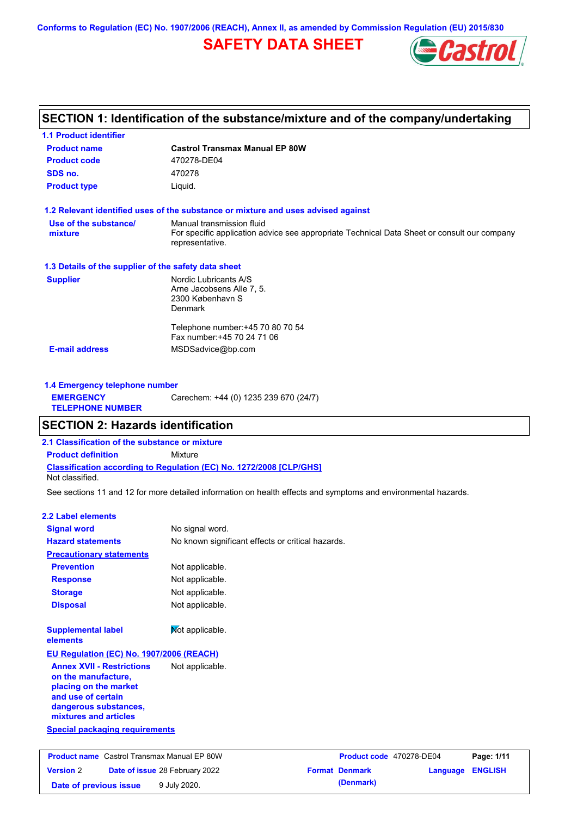**Conforms to Regulation (EC) No. 1907/2006 (REACH), Annex II, as amended by Commission Regulation (EU) 2015/830**

## **SAFETY DATA SHEET**



### **SECTION 1: Identification of the substance/mixture and of the company/undertaking**

| <b>1.1 Product identifier</b>                        |                                                                                                                |
|------------------------------------------------------|----------------------------------------------------------------------------------------------------------------|
| <b>Product name</b>                                  | <b>Castrol Transmax Manual EP 80W</b>                                                                          |
| <b>Product code</b>                                  | 470278-DE04                                                                                                    |
| SDS no.                                              | 470278                                                                                                         |
| <b>Product type</b>                                  | Liquid.                                                                                                        |
|                                                      | 1.2 Relevant identified uses of the substance or mixture and uses advised against                              |
| Use of the substance/                                | Manual transmission fluid                                                                                      |
| mixture                                              | For specific application advice see appropriate Technical Data Sheet or consult our company<br>representative. |
| 1.3 Details of the supplier of the safety data sheet |                                                                                                                |
| <b>Supplier</b>                                      | Nordic Lubricants A/S                                                                                          |
|                                                      | Arne Jacobsens Alle 7, 5.                                                                                      |
|                                                      | 2300 København S                                                                                               |
|                                                      | <b>Denmark</b>                                                                                                 |
|                                                      | Telephone number: +45 70 80 70 54                                                                              |
|                                                      | Fax number: +45 70 24 71 06                                                                                    |
| <b>E-mail address</b>                                | MSDSadvice@bp.com                                                                                              |
|                                                      |                                                                                                                |
|                                                      |                                                                                                                |

| 1.4 Emergency telephone number              |                                       |  |  |
|---------------------------------------------|---------------------------------------|--|--|
| <b>EMERGENCY</b><br><b>TELEPHONE NUMBER</b> | Carechem: +44 (0) 1235 239 670 (24/7) |  |  |

### **SECTION 2: Hazards identification**

**2.1 Classification of the substance or mixture**

**Classification according to Regulation (EC) No. 1272/2008 [CLP/GHS] Product definition** Mixture

Not classified.

See sections 11 and 12 for more detailed information on health effects and symptoms and environmental hazards.

### **2.2 Label elements**

**Version** 2

| <b>Signal word</b>                                                                                                                                       | No signal word.                                   |                          |            |
|----------------------------------------------------------------------------------------------------------------------------------------------------------|---------------------------------------------------|--------------------------|------------|
| <b>Hazard statements</b>                                                                                                                                 | No known significant effects or critical hazards. |                          |            |
| <b>Precautionary statements</b>                                                                                                                          |                                                   |                          |            |
| <b>Prevention</b>                                                                                                                                        | Not applicable.                                   |                          |            |
| <b>Response</b>                                                                                                                                          | Not applicable.                                   |                          |            |
| <b>Storage</b>                                                                                                                                           | Not applicable.                                   |                          |            |
| <b>Disposal</b>                                                                                                                                          | Not applicable.                                   |                          |            |
| <b>Supplemental label</b><br>elements                                                                                                                    | Not applicable.                                   |                          |            |
| EU Regulation (EC) No. 1907/2006 (REACH)                                                                                                                 |                                                   |                          |            |
| <b>Annex XVII - Restrictions</b><br>on the manufacture.<br>placing on the market<br>and use of certain<br>dangerous substances,<br>mixtures and articles | Not applicable.                                   |                          |            |
| <b>Special packaging requirements</b>                                                                                                                    |                                                   |                          |            |
| <b>Product name</b> Castrol Transmax Manual EP 80W                                                                                                       |                                                   | Product code 470278-DE04 | Page: 1/11 |

**Date of issue** 28 February 2022

**Date of previous issue 9 July 2020.** 

| <b>Product code</b> 470278-DE04 |                  | Page: 1/11 |
|---------------------------------|------------------|------------|
| <b>Format Denmark</b>           | Language ENGLISH |            |
| (Denmark)                       |                  |            |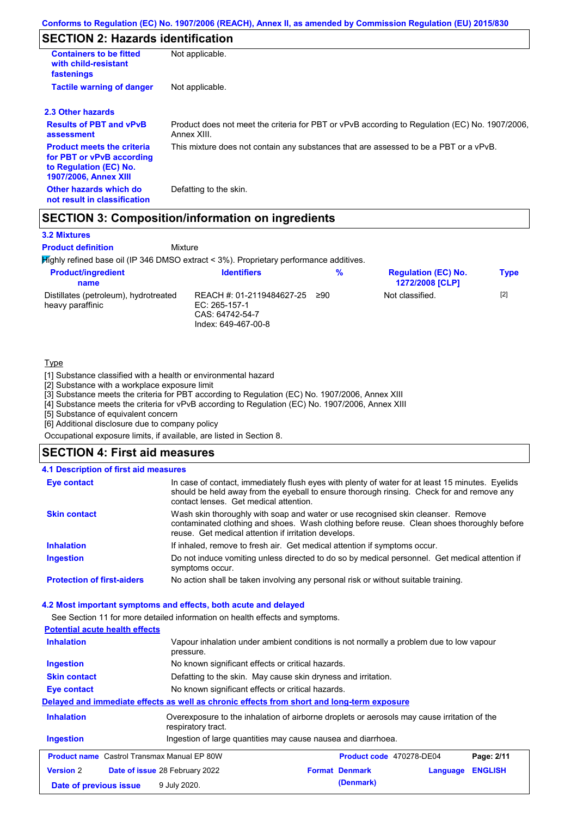## **SECTION 2: Hazards identification**

| <b>Containers to be fitted</b><br>with child-resistant<br>fastenings                                                     | Not applicable.                                                                                               |
|--------------------------------------------------------------------------------------------------------------------------|---------------------------------------------------------------------------------------------------------------|
| <b>Tactile warning of danger</b>                                                                                         | Not applicable.                                                                                               |
| 2.3 Other hazards                                                                                                        |                                                                                                               |
| <b>Results of PBT and vPvB</b><br>assessment                                                                             | Product does not meet the criteria for PBT or vPvB according to Regulation (EC) No. 1907/2006,<br>Annex XIII. |
| <b>Product meets the criteria</b><br>for PBT or vPvB according<br>to Regulation (EC) No.<br><b>1907/2006, Annex XIII</b> | This mixture does not contain any substances that are assessed to be a PBT or a vPvB.                         |
| Other hazards which do<br>not result in classification                                                                   | Defatting to the skin.                                                                                        |

### **SECTION 3: Composition/information on ingredients**

Mixture

### **3.2 Mixtures**

**Product definition**

Highly refined base oil (IP 346 DMSO extract < 3%). Proprietary performance additives.

| <b>Product/ingredient</b><br>name                         | <b>Identifiers</b>                                                                   | %   | <b>Regulation (EC) No.</b><br><b>1272/2008 [CLP]</b> | <b>Type</b> |
|-----------------------------------------------------------|--------------------------------------------------------------------------------------|-----|------------------------------------------------------|-------------|
| Distillates (petroleum), hydrotreated<br>heavy paraffinic | REACH #: 01-2119484627-25<br>EC: 265-157-1<br>CAS: 64742-54-7<br>Index: 649-467-00-8 | ≥90 | Not classified.                                      | $[2]$       |

### **Type**

[1] Substance classified with a health or environmental hazard

[2] Substance with a workplace exposure limit

[3] Substance meets the criteria for PBT according to Regulation (EC) No. 1907/2006, Annex XIII

[4] Substance meets the criteria for vPvB according to Regulation (EC) No. 1907/2006, Annex XIII

[5] Substance of equivalent concern

[6] Additional disclosure due to company policy

Occupational exposure limits, if available, are listed in Section 8.

### **SECTION 4: First aid measures**

### **4.1 Description of first aid measures**

| <b>Eye contact</b>                | In case of contact, immediately flush eyes with plenty of water for at least 15 minutes. Eyelids<br>should be held away from the eyeball to ensure thorough rinsing. Check for and remove any<br>contact lenses. Get medical attention. |
|-----------------------------------|-----------------------------------------------------------------------------------------------------------------------------------------------------------------------------------------------------------------------------------------|
| <b>Skin contact</b>               | Wash skin thoroughly with soap and water or use recognised skin cleanser. Remove<br>contaminated clothing and shoes. Wash clothing before reuse. Clean shoes thoroughly before<br>reuse. Get medical attention if irritation develops.  |
| <b>Inhalation</b>                 | If inhaled, remove to fresh air. Get medical attention if symptoms occur.                                                                                                                                                               |
| <b>Ingestion</b>                  | Do not induce vomiting unless directed to do so by medical personnel. Get medical attention if<br>symptoms occur.                                                                                                                       |
| <b>Protection of first-aiders</b> | No action shall be taken involving any personal risk or without suitable training.                                                                                                                                                      |

#### **4.2 Most important symptoms and effects, both acute and delayed**

See Section 11 for more detailed information on health effects and symptoms.

| <b>Potential acute health effects</b>              |                                                                                                                   |                          |          |                |
|----------------------------------------------------|-------------------------------------------------------------------------------------------------------------------|--------------------------|----------|----------------|
| <b>Inhalation</b>                                  | Vapour inhalation under ambient conditions is not normally a problem due to low vapour<br>pressure.               |                          |          |                |
| Ingestion                                          | No known significant effects or critical hazards.                                                                 |                          |          |                |
| <b>Skin contact</b>                                | Defatting to the skin. May cause skin dryness and irritation.                                                     |                          |          |                |
| Eye contact                                        | No known significant effects or critical hazards.                                                                 |                          |          |                |
|                                                    | Delayed and immediate effects as well as chronic effects from short and long-term exposure                        |                          |          |                |
| <b>Inhalation</b>                                  | Overexposure to the inhalation of airborne droplets or aerosols may cause irritation of the<br>respiratory tract. |                          |          |                |
| <b>Ingestion</b>                                   | Ingestion of large quantities may cause nausea and diarrhoea.                                                     |                          |          |                |
| <b>Product name</b> Castrol Transmax Manual EP 80W |                                                                                                                   | Product code 470278-DE04 |          | Page: 2/11     |
| <b>Version 2</b>                                   | <b>Date of issue 28 February 2022</b>                                                                             | <b>Format Denmark</b>    | Language | <b>ENGLISH</b> |
| Date of previous issue                             | 9 July 2020.                                                                                                      | (Denmark)                |          |                |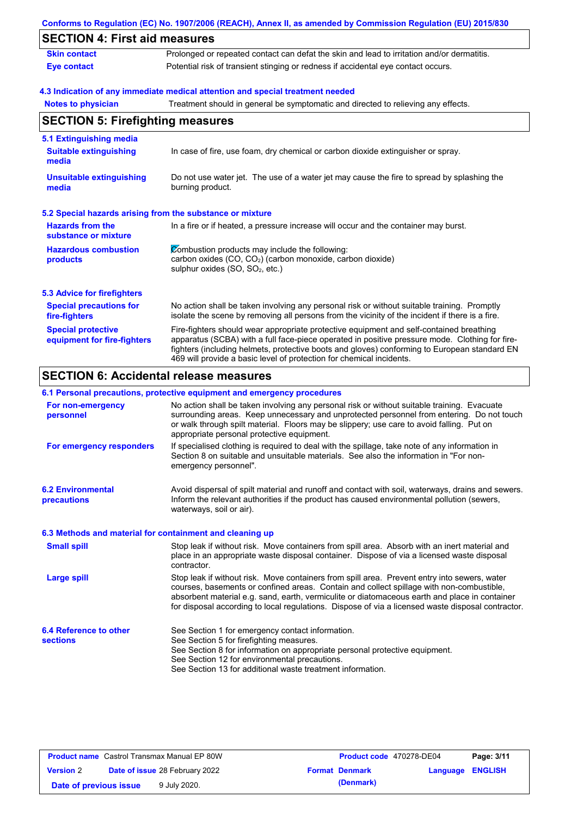|                                                           | Conforms to Regulation (EC) No. 1907/2006 (REACH), Annex II, as amended by Commission Regulation (EU) 2015/830                                                                                                                                                                                                                                                    |
|-----------------------------------------------------------|-------------------------------------------------------------------------------------------------------------------------------------------------------------------------------------------------------------------------------------------------------------------------------------------------------------------------------------------------------------------|
| <b>SECTION 4: First aid measures</b>                      |                                                                                                                                                                                                                                                                                                                                                                   |
| <b>Skin contact</b>                                       | Prolonged or repeated contact can defat the skin and lead to irritation and/or dermatitis.                                                                                                                                                                                                                                                                        |
| <b>Eye contact</b>                                        | Potential risk of transient stinging or redness if accidental eye contact occurs.                                                                                                                                                                                                                                                                                 |
|                                                           | 4.3 Indication of any immediate medical attention and special treatment needed                                                                                                                                                                                                                                                                                    |
| <b>Notes to physician</b>                                 | Treatment should in general be symptomatic and directed to relieving any effects.                                                                                                                                                                                                                                                                                 |
| <b>SECTION 5: Firefighting measures</b>                   |                                                                                                                                                                                                                                                                                                                                                                   |
| 5.1 Extinguishing media                                   |                                                                                                                                                                                                                                                                                                                                                                   |
| <b>Suitable extinguishing</b><br>media                    | In case of fire, use foam, dry chemical or carbon dioxide extinguisher or spray.                                                                                                                                                                                                                                                                                  |
| <b>Unsuitable extinguishing</b><br>media                  | Do not use water jet. The use of a water jet may cause the fire to spread by splashing the<br>burning product.                                                                                                                                                                                                                                                    |
| 5.2 Special hazards arising from the substance or mixture |                                                                                                                                                                                                                                                                                                                                                                   |
| <b>Hazards from the</b><br>substance or mixture           | In a fire or if heated, a pressure increase will occur and the container may burst.                                                                                                                                                                                                                                                                               |
| <b>Hazardous combustion</b><br>products                   | Combustion products may include the following:<br>carbon oxides (CO, CO2) (carbon monoxide, carbon dioxide)<br>sulphur oxides (SO, SO <sub>2</sub> , etc.)                                                                                                                                                                                                        |
| <b>5.3 Advice for firefighters</b>                        |                                                                                                                                                                                                                                                                                                                                                                   |
| <b>Special precautions for</b><br>fire-fighters           | No action shall be taken involving any personal risk or without suitable training. Promptly<br>isolate the scene by removing all persons from the vicinity of the incident if there is a fire.                                                                                                                                                                    |
| <b>Special protective</b><br>equipment for fire-fighters  | Fire-fighters should wear appropriate protective equipment and self-contained breathing<br>apparatus (SCBA) with a full face-piece operated in positive pressure mode. Clothing for fire-<br>fighters (including helmets, protective boots and gloves) conforming to European standard EN<br>469 will provide a basic level of protection for chemical incidents. |

#### **6.1 Personal precautions, protective equipment and emergency procedures**

|                                                          | v. i i croonar procaationo, protocityc cquipment and chicrychev procedures                                                                                                                                                                                                                                                                                                                     |
|----------------------------------------------------------|------------------------------------------------------------------------------------------------------------------------------------------------------------------------------------------------------------------------------------------------------------------------------------------------------------------------------------------------------------------------------------------------|
| For non-emergency<br>personnel                           | No action shall be taken involving any personal risk or without suitable training. Evacuate<br>surrounding areas. Keep unnecessary and unprotected personnel from entering. Do not touch<br>or walk through spilt material. Floors may be slippery; use care to avoid falling. Put on<br>appropriate personal protective equipment.                                                            |
| For emergency responders                                 | If specialised clothing is required to deal with the spillage, take note of any information in<br>Section 8 on suitable and unsuitable materials. See also the information in "For non-<br>emergency personnel".                                                                                                                                                                               |
| <b>6.2 Environmental</b><br>precautions                  | Avoid dispersal of spilt material and runoff and contact with soil, waterways, drains and sewers.<br>Inform the relevant authorities if the product has caused environmental pollution (sewers,<br>waterways, soil or air).                                                                                                                                                                    |
| 6.3 Methods and material for containment and cleaning up |                                                                                                                                                                                                                                                                                                                                                                                                |
| <b>Small spill</b>                                       | Stop leak if without risk. Move containers from spill area. Absorb with an inert material and<br>place in an appropriate waste disposal container. Dispose of via a licensed waste disposal<br>contractor.                                                                                                                                                                                     |
| Large spill                                              | Stop leak if without risk. Move containers from spill area. Prevent entry into sewers, water<br>courses, basements or confined areas. Contain and collect spillage with non-combustible,<br>absorbent material e.g. sand, earth, vermiculite or diatomaceous earth and place in container<br>for disposal according to local regulations. Dispose of via a licensed waste disposal contractor. |
| 6.4 Reference to other<br><b>sections</b>                | See Section 1 for emergency contact information.<br>See Section 5 for firefighting measures.                                                                                                                                                                                                                                                                                                   |
|                                                          | See Section 8 for information on appropriate personal protective equipment.<br>See Section 12 for environmental precautions.<br>See Section 13 for additional waste treatment information.                                                                                                                                                                                                     |

| <b>Product name</b> Castrol Transmax Manual EP 80W |  | Product code 470278-DE04              |  | Page: 3/11            |                         |  |
|----------------------------------------------------|--|---------------------------------------|--|-----------------------|-------------------------|--|
| <b>Version 2</b>                                   |  | <b>Date of issue 28 February 2022</b> |  | <b>Format Denmark</b> | <b>Language ENGLISH</b> |  |
| Date of previous issue                             |  | 9 July 2020.                          |  | (Denmark)             |                         |  |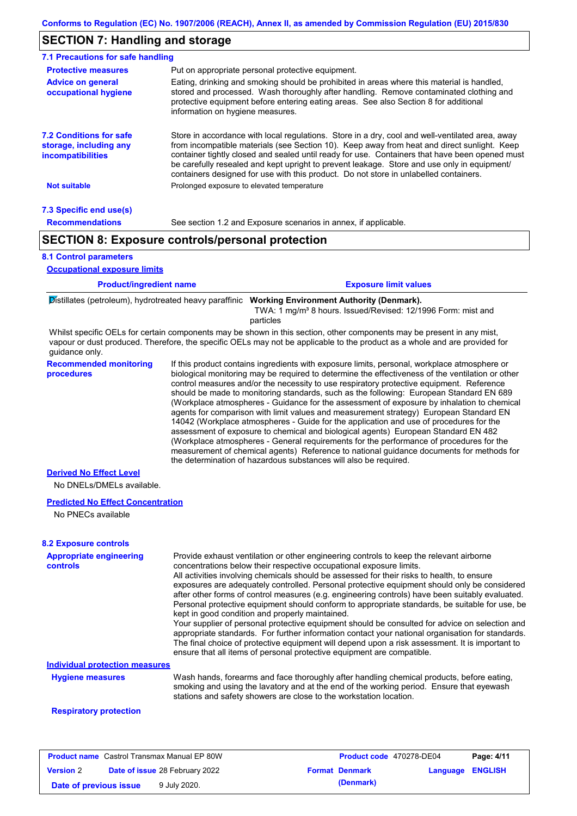### **SECTION 7: Handling and storage**

| 7.1 Precautions for safe handling                                                    |                                                                                                                                                                                                                                                                                                                                                                                                                                                                                          |
|--------------------------------------------------------------------------------------|------------------------------------------------------------------------------------------------------------------------------------------------------------------------------------------------------------------------------------------------------------------------------------------------------------------------------------------------------------------------------------------------------------------------------------------------------------------------------------------|
| <b>Protective measures</b>                                                           | Put on appropriate personal protective equipment.                                                                                                                                                                                                                                                                                                                                                                                                                                        |
| <b>Advice on general</b><br>occupational hygiene                                     | Eating, drinking and smoking should be prohibited in areas where this material is handled,<br>stored and processed. Wash thoroughly after handling. Remove contaminated clothing and<br>protective equipment before entering eating areas. See also Section 8 for additional<br>information on hygiene measures.                                                                                                                                                                         |
| <b>7.2 Conditions for safe</b><br>storage, including any<br><i>incompatibilities</i> | Store in accordance with local regulations. Store in a dry, cool and well-ventilated area, away<br>from incompatible materials (see Section 10). Keep away from heat and direct sunlight. Keep<br>container tightly closed and sealed until ready for use. Containers that have been opened must<br>be carefully resealed and kept upright to prevent leakage. Store and use only in equipment/<br>containers designed for use with this product. Do not store in unlabelled containers. |
| Not suitable                                                                         | Prolonged exposure to elevated temperature                                                                                                                                                                                                                                                                                                                                                                                                                                               |
| 7.3 Specific end use(s)                                                              |                                                                                                                                                                                                                                                                                                                                                                                                                                                                                          |
| <b>Recommendations</b>                                                               | See section 1.2 and Exposure scenarios in annex, if applicable.                                                                                                                                                                                                                                                                                                                                                                                                                          |
|                                                                                      | <b>SECTION 8: Exposure controls/personal protection</b>                                                                                                                                                                                                                                                                                                                                                                                                                                  |
|                                                                                      |                                                                                                                                                                                                                                                                                                                                                                                                                                                                                          |

**8.1 Control parameters**

**Occupational exposure limits**

| <b>Product/ingredient name</b>                                                                                                                                                                                                                                                                                                                                                                                      | <b>Exposure limit values</b> |
|---------------------------------------------------------------------------------------------------------------------------------------------------------------------------------------------------------------------------------------------------------------------------------------------------------------------------------------------------------------------------------------------------------------------|------------------------------|
| $\overline{\phantom{a}}$ and $\overline{\phantom{a}}$ and $\overline{\phantom{a}}$ and $\overline{\phantom{a}}$ and $\overline{\phantom{a}}$ and $\overline{\phantom{a}}$ and $\overline{\phantom{a}}$ and $\overline{\phantom{a}}$ and $\overline{\phantom{a}}$ and $\overline{\phantom{a}}$ and $\overline{\phantom{a}}$ and $\overline{\phantom{a}}$ and $\overline{\phantom{a}}$ and $\overline{\phantom{a}}$ a |                              |

Distillates (petroleum), hydrotreated heavy paraffinic **Working Environment Authority (Denmark).** TWA: 1 mg/m³ 8 hours. Issued/Revised: 12/1996 Form: mist and

particles

Whilst specific OELs for certain components may be shown in this section, other components may be present in any mist, vapour or dust produced. Therefore, the specific OELs may not be applicable to the product as a whole and are provided for guidance only.

**Recommended monitoring procedures** If this product contains ingredients with exposure limits, personal, workplace atmosphere or biological monitoring may be required to determine the effectiveness of the ventilation or other control measures and/or the necessity to use respiratory protective equipment. Reference should be made to monitoring standards, such as the following: European Standard EN 689 (Workplace atmospheres - Guidance for the assessment of exposure by inhalation to chemical agents for comparison with limit values and measurement strategy) European Standard EN 14042 (Workplace atmospheres - Guide for the application and use of procedures for the assessment of exposure to chemical and biological agents) European Standard EN 482 (Workplace atmospheres - General requirements for the performance of procedures for the measurement of chemical agents) Reference to national guidance documents for methods for the determination of hazardous substances will also be required.

#### **Derived No Effect Level**

No DNELs/DMELs available.

#### **Predicted No Effect Concentration**

No PNECs available

### **8.2 Exposure controls**

| <b>Appropriate engineering</b><br>controls | Provide exhaust ventilation or other engineering controls to keep the relevant airborne<br>concentrations below their respective occupational exposure limits.<br>All activities involving chemicals should be assessed for their risks to health, to ensure<br>exposures are adequately controlled. Personal protective equipment should only be considered<br>after other forms of control measures (e.g. engineering controls) have been suitably evaluated.<br>Personal protective equipment should conform to appropriate standards, be suitable for use, be<br>kept in good condition and properly maintained.<br>Your supplier of personal protective equipment should be consulted for advice on selection and<br>appropriate standards. For further information contact your national organisation for standards.<br>The final choice of protective equipment will depend upon a risk assessment. It is important to<br>ensure that all items of personal protective equipment are compatible. |
|--------------------------------------------|---------------------------------------------------------------------------------------------------------------------------------------------------------------------------------------------------------------------------------------------------------------------------------------------------------------------------------------------------------------------------------------------------------------------------------------------------------------------------------------------------------------------------------------------------------------------------------------------------------------------------------------------------------------------------------------------------------------------------------------------------------------------------------------------------------------------------------------------------------------------------------------------------------------------------------------------------------------------------------------------------------|
| <b>Individual protection measures</b>      |                                                                                                                                                                                                                                                                                                                                                                                                                                                                                                                                                                                                                                                                                                                                                                                                                                                                                                                                                                                                         |
| <b>Hygiene measures</b>                    | Wash hands, forearms and face thoroughly after handling chemical products, before eating,<br>smoking and using the lavatory and at the end of the working period. Ensure that eyewash<br>stations and safety showers are close to the workstation location.                                                                                                                                                                                                                                                                                                                                                                                                                                                                                                                                                                                                                                                                                                                                             |
| <b>Respiratory protection</b>              |                                                                                                                                                                                                                                                                                                                                                                                                                                                                                                                                                                                                                                                                                                                                                                                                                                                                                                                                                                                                         |

### **Product name** Castrol Transmax Manual EP 80W **Product code** 470278-DE04 **Page: 4/11 Version** 2 **Date of issue** 28 February 2022 **Format Denmark Language ENGLISH Date of previous issue** 9 July 2020.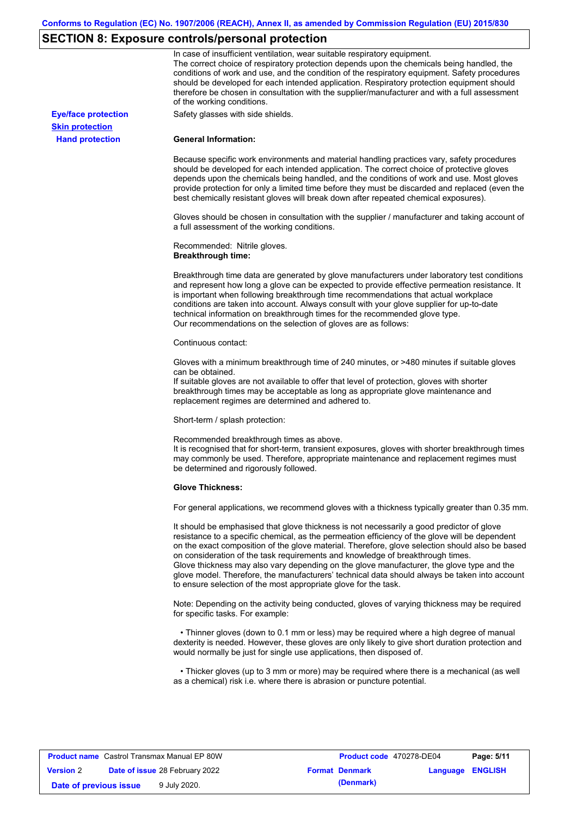## **SECTION 8: Exposure controls/personal protection**

|                            | In case of insufficient ventilation, wear suitable respiratory equipment.<br>The correct choice of respiratory protection depends upon the chemicals being handled, the<br>conditions of work and use, and the condition of the respiratory equipment. Safety procedures<br>should be developed for each intended application. Respiratory protection equipment should<br>therefore be chosen in consultation with the supplier/manufacturer and with a full assessment<br>of the working conditions.                                                                                                                                             |
|----------------------------|---------------------------------------------------------------------------------------------------------------------------------------------------------------------------------------------------------------------------------------------------------------------------------------------------------------------------------------------------------------------------------------------------------------------------------------------------------------------------------------------------------------------------------------------------------------------------------------------------------------------------------------------------|
| <b>Eye/face protection</b> | Safety glasses with side shields.                                                                                                                                                                                                                                                                                                                                                                                                                                                                                                                                                                                                                 |
| <b>Skin protection</b>     |                                                                                                                                                                                                                                                                                                                                                                                                                                                                                                                                                                                                                                                   |
| <b>Hand protection</b>     | <b>General Information:</b>                                                                                                                                                                                                                                                                                                                                                                                                                                                                                                                                                                                                                       |
|                            | Because specific work environments and material handling practices vary, safety procedures<br>should be developed for each intended application. The correct choice of protective gloves<br>depends upon the chemicals being handled, and the conditions of work and use. Most gloves<br>provide protection for only a limited time before they must be discarded and replaced (even the<br>best chemically resistant gloves will break down after repeated chemical exposures).                                                                                                                                                                  |
|                            | Gloves should be chosen in consultation with the supplier / manufacturer and taking account of<br>a full assessment of the working conditions.                                                                                                                                                                                                                                                                                                                                                                                                                                                                                                    |
|                            | Recommended: Nitrile gloves.<br><b>Breakthrough time:</b>                                                                                                                                                                                                                                                                                                                                                                                                                                                                                                                                                                                         |
|                            | Breakthrough time data are generated by glove manufacturers under laboratory test conditions<br>and represent how long a glove can be expected to provide effective permeation resistance. It<br>is important when following breakthrough time recommendations that actual workplace<br>conditions are taken into account. Always consult with your glove supplier for up-to-date<br>technical information on breakthrough times for the recommended glove type.<br>Our recommendations on the selection of gloves are as follows:                                                                                                                |
|                            | Continuous contact:                                                                                                                                                                                                                                                                                                                                                                                                                                                                                                                                                                                                                               |
|                            | Gloves with a minimum breakthrough time of 240 minutes, or >480 minutes if suitable gloves<br>can be obtained.<br>If suitable gloves are not available to offer that level of protection, gloves with shorter<br>breakthrough times may be acceptable as long as appropriate glove maintenance and<br>replacement regimes are determined and adhered to.                                                                                                                                                                                                                                                                                          |
|                            | Short-term / splash protection:                                                                                                                                                                                                                                                                                                                                                                                                                                                                                                                                                                                                                   |
|                            | Recommended breakthrough times as above.<br>It is recognised that for short-term, transient exposures, gloves with shorter breakthrough times<br>may commonly be used. Therefore, appropriate maintenance and replacement regimes must<br>be determined and rigorously followed.                                                                                                                                                                                                                                                                                                                                                                  |
|                            | <b>Glove Thickness:</b>                                                                                                                                                                                                                                                                                                                                                                                                                                                                                                                                                                                                                           |
|                            | For general applications, we recommend gloves with a thickness typically greater than 0.35 mm.                                                                                                                                                                                                                                                                                                                                                                                                                                                                                                                                                    |
|                            | It should be emphasised that glove thickness is not necessarily a good predictor of glove<br>resistance to a specific chemical, as the permeation efficiency of the glove will be dependent<br>on the exact composition of the glove material. Therefore, glove selection should also be based<br>on consideration of the task requirements and knowledge of breakthrough times.<br>Glove thickness may also vary depending on the glove manufacturer, the glove type and the<br>glove model. Therefore, the manufacturers' technical data should always be taken into account<br>to ensure selection of the most appropriate glove for the task. |
|                            | Note: Depending on the activity being conducted, gloves of varying thickness may be required<br>for specific tasks. For example:                                                                                                                                                                                                                                                                                                                                                                                                                                                                                                                  |
|                            | • Thinner gloves (down to 0.1 mm or less) may be required where a high degree of manual<br>dexterity is needed. However, these gloves are only likely to give short duration protection and<br>would normally be just for single use applications, then disposed of.                                                                                                                                                                                                                                                                                                                                                                              |
|                            | • Thicker gloves (up to 3 mm or more) may be required where there is a mechanical (as well<br>as a chemical) risk i.e. where there is abrasion or puncture potential.                                                                                                                                                                                                                                                                                                                                                                                                                                                                             |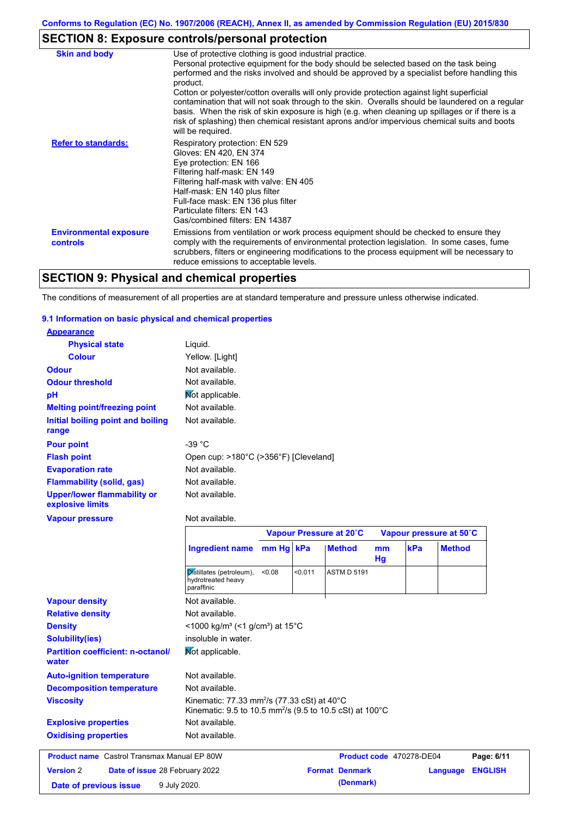### **SECTION 8: Exposure controls/personal protection**

| <b>Skin and body</b>                             | Use of protective clothing is good industrial practice.                                                                                                                                                                                                                                                                                                                                                                                                                                                                                                                                                                    |
|--------------------------------------------------|----------------------------------------------------------------------------------------------------------------------------------------------------------------------------------------------------------------------------------------------------------------------------------------------------------------------------------------------------------------------------------------------------------------------------------------------------------------------------------------------------------------------------------------------------------------------------------------------------------------------------|
|                                                  | Personal protective equipment for the body should be selected based on the task being<br>performed and the risks involved and should be approved by a specialist before handling this<br>product.<br>Cotton or polyester/cotton overalls will only provide protection against light superficial<br>contamination that will not soak through to the skin. Overalls should be laundered on a regular<br>basis. When the risk of skin exposure is high (e.g. when cleaning up spillages or if there is a<br>risk of splashing) then chemical resistant aprons and/or impervious chemical suits and boots<br>will be required. |
| <b>Refer to standards:</b>                       | Respiratory protection: EN 529<br>Gloves: EN 420, EN 374<br>Eye protection: EN 166<br>Filtering half-mask: EN 149<br>Filtering half-mask with valve: EN 405<br>Half-mask: EN 140 plus filter<br>Full-face mask: EN 136 plus filter<br>Particulate filters: EN 143<br>Gas/combined filters: EN 14387                                                                                                                                                                                                                                                                                                                        |
| <b>Environmental exposure</b><br><b>controls</b> | Emissions from ventilation or work process equipment should be checked to ensure they<br>comply with the requirements of environmental protection legislation. In some cases, fume<br>scrubbers, filters or engineering modifications to the process equipment will be necessary to<br>reduce emissions to acceptable levels.                                                                                                                                                                                                                                                                                              |

## **SECTION 9: Physical and chemical properties**

The conditions of measurement of all properties are at standard temperature and pressure unless otherwise indicated.

### **9.1 Information on basic physical and chemical properties**

| <b>Appearance</b>                                      |                                                                      |           |         |                         |          |     |                         |
|--------------------------------------------------------|----------------------------------------------------------------------|-----------|---------|-------------------------|----------|-----|-------------------------|
| <b>Physical state</b>                                  | Liquid.                                                              |           |         |                         |          |     |                         |
| <b>Colour</b>                                          | Yellow. [Light]                                                      |           |         |                         |          |     |                         |
| <b>Odour</b>                                           | Not available.                                                       |           |         |                         |          |     |                         |
| <b>Odour threshold</b>                                 | Not available.                                                       |           |         |                         |          |     |                         |
| pH                                                     | Mot applicable.                                                      |           |         |                         |          |     |                         |
| <b>Melting point/freezing point</b>                    | Not available.                                                       |           |         |                         |          |     |                         |
| Initial boiling point and boiling<br>range             | Not available.                                                       |           |         |                         |          |     |                         |
| <b>Pour point</b>                                      | $-39 °C$                                                             |           |         |                         |          |     |                         |
| <b>Flash point</b>                                     | Open cup: >180°C (>356°F) [Cleveland]                                |           |         |                         |          |     |                         |
| <b>Evaporation rate</b>                                | Not available.                                                       |           |         |                         |          |     |                         |
| <b>Flammability (solid, gas)</b>                       | Not available.                                                       |           |         |                         |          |     |                         |
| <b>Upper/lower flammability or</b><br>explosive limits | Not available.                                                       |           |         |                         |          |     |                         |
| <b>Vapour pressure</b>                                 | Not available.                                                       |           |         |                         |          |     |                         |
|                                                        |                                                                      |           |         |                         |          |     |                         |
|                                                        |                                                                      |           |         | Vapour Pressure at 20°C |          |     | Vapour pressure at 50°C |
|                                                        | <b>Ingredient name</b>                                               | mm Hg kPa |         | <b>Method</b>           | mm<br>Hg | kPa | <b>Method</b>           |
|                                                        | Distillates (petroleum),<br>hydrotreated heavy<br>paraffinic         | 0.08      | < 0.011 | <b>ASTM D 5191</b>      |          |     |                         |
| <b>Vapour density</b>                                  | Not available.                                                       |           |         |                         |          |     |                         |
| <b>Relative density</b>                                | Not available.                                                       |           |         |                         |          |     |                         |
| <b>Density</b>                                         | <1000 kg/m <sup>3</sup> (<1 g/cm <sup>3</sup> ) at 15 <sup>°</sup> C |           |         |                         |          |     |                         |
| <b>Solubility(ies)</b>                                 | insoluble in water.                                                  |           |         |                         |          |     |                         |
| <b>Partition coefficient: n-octanol/</b><br>water      | Mot applicable.                                                      |           |         |                         |          |     |                         |
| <b>Auto-ignition temperature</b>                       | Not available.                                                       |           |         |                         |          |     |                         |
| <b>Decomposition temperature</b>                       | Not available.                                                       |           |         |                         |          |     |                         |

## **Oxidising properties** Not available. **Product name** Castrol Transmax Manual EP 80W **Product code** 470278-DE04 **Page: 6/11 Version** 2

Not available.

**Explosive properties**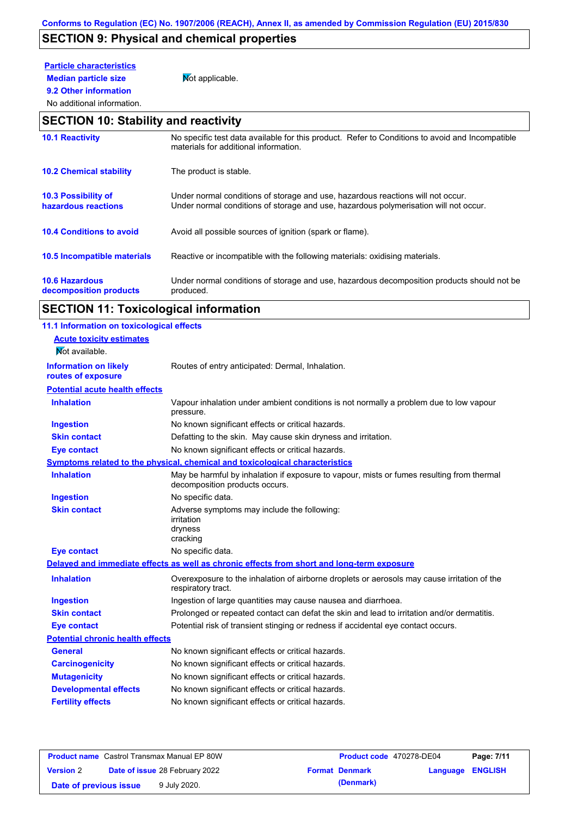## **SECTION 9: Physical and chemical properties**

## **Particle characteristics**

**9.2 Other information**

**Median particle size** Not applicable.

### No additional information.

### **SECTION 10: Stability and reactivity**

| <b>10.1 Reactivity</b>                            | No specific test data available for this product. Refer to Conditions to avoid and Incompatible<br>materials for additional information.                                |
|---------------------------------------------------|-------------------------------------------------------------------------------------------------------------------------------------------------------------------------|
| <b>10.2 Chemical stability</b>                    | The product is stable.                                                                                                                                                  |
| <b>10.3 Possibility of</b><br>hazardous reactions | Under normal conditions of storage and use, hazardous reactions will not occur.<br>Under normal conditions of storage and use, hazardous polymerisation will not occur. |
| <b>10.4 Conditions to avoid</b>                   | Avoid all possible sources of ignition (spark or flame).                                                                                                                |
| 10.5 Incompatible materials                       | Reactive or incompatible with the following materials: oxidising materials.                                                                                             |
| <b>10.6 Hazardous</b><br>decomposition products   | Under normal conditions of storage and use, hazardous decomposition products should not be<br>produced.                                                                 |

# **SECTION 11: Toxicological information**

| 11.1 Information on toxicological effects |                                                                                                                             |
|-------------------------------------------|-----------------------------------------------------------------------------------------------------------------------------|
| <b>Acute toxicity estimates</b>           |                                                                                                                             |
| Not available.                            |                                                                                                                             |
| <b>Information on likely</b>              | Routes of entry anticipated: Dermal, Inhalation.                                                                            |
| routes of exposure                        |                                                                                                                             |
| <b>Potential acute health effects</b>     |                                                                                                                             |
| <b>Inhalation</b>                         | Vapour inhalation under ambient conditions is not normally a problem due to low vapour<br>pressure.                         |
| <b>Ingestion</b>                          | No known significant effects or critical hazards.                                                                           |
| <b>Skin contact</b>                       | Defatting to the skin. May cause skin dryness and irritation.                                                               |
| <b>Eye contact</b>                        | No known significant effects or critical hazards.                                                                           |
|                                           | Symptoms related to the physical, chemical and toxicological characteristics                                                |
| <b>Inhalation</b>                         | May be harmful by inhalation if exposure to vapour, mists or fumes resulting from thermal<br>decomposition products occurs. |
| <b>Ingestion</b>                          | No specific data.                                                                                                           |
| <b>Skin contact</b>                       | Adverse symptoms may include the following:<br>irritation<br>dryness<br>cracking                                            |
| <b>Eye contact</b>                        | No specific data.                                                                                                           |
|                                           | Delayed and immediate effects as well as chronic effects from short and long-term exposure                                  |
| <b>Inhalation</b>                         | Overexposure to the inhalation of airborne droplets or aerosols may cause irritation of the<br>respiratory tract.           |
| <b>Ingestion</b>                          | Ingestion of large quantities may cause nausea and diarrhoea.                                                               |
| <b>Skin contact</b>                       | Prolonged or repeated contact can defat the skin and lead to irritation and/or dermatitis.                                  |
| <b>Eye contact</b>                        | Potential risk of transient stinging or redness if accidental eye contact occurs.                                           |
| <b>Potential chronic health effects</b>   |                                                                                                                             |
| <b>General</b>                            | No known significant effects or critical hazards.                                                                           |
| <b>Carcinogenicity</b>                    | No known significant effects or critical hazards.                                                                           |
| <b>Mutagenicity</b>                       | No known significant effects or critical hazards.                                                                           |
| <b>Developmental effects</b>              | No known significant effects or critical hazards.                                                                           |
| <b>Fertility effects</b>                  | No known significant effects or critical hazards.                                                                           |
|                                           |                                                                                                                             |

|                        | <b>Product name</b> Castrol Transmax Manual EP 80W | <b>Product code</b> 470278-DE04 |                         | Page: 7/11 |
|------------------------|----------------------------------------------------|---------------------------------|-------------------------|------------|
| <b>Version 2</b>       | <b>Date of issue 28 February 2022</b>              | <b>Format Denmark</b>           | <b>Language ENGLISH</b> |            |
| Date of previous issue | 9 July 2020.                                       | (Denmark)                       |                         |            |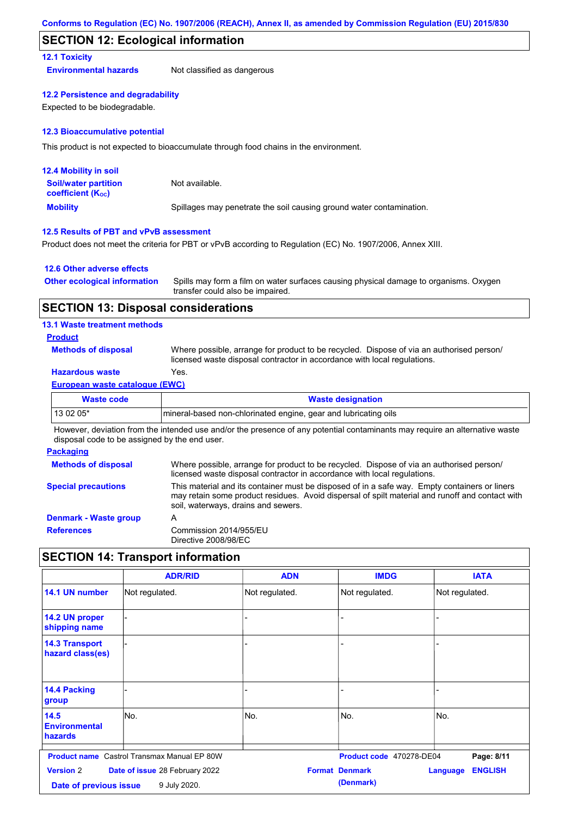### **SECTION 12: Ecological information**

### **12.1 Toxicity**

**Environmental hazards** Not classified as dangerous

#### **12.2 Persistence and degradability**

Expected to be biodegradable.

#### **12.3 Bioaccumulative potential**

This product is not expected to bioaccumulate through food chains in the environment.

| <b>12.4 Mobility in soil</b>                                  |                                                                      |
|---------------------------------------------------------------|----------------------------------------------------------------------|
| <b>Soil/water partition</b><br>coefficient (K <sub>oc</sub> ) | Not available.                                                       |
| <b>Mobility</b>                                               | Spillages may penetrate the soil causing ground water contamination. |

### **12.5 Results of PBT and vPvB assessment**

Product does not meet the criteria for PBT or vPvB according to Regulation (EC) No. 1907/2006, Annex XIII.

### **12.6 Other adverse effects**

| Other ecological information Spills may form a film on water surfaces causing physical damage to organisms. Oxygen |
|--------------------------------------------------------------------------------------------------------------------|
| transfer could also be impaired.                                                                                   |

### **SECTION 13: Disposal considerations**

### **13.1 Waste treatment methods**

#### **Product**

**Methods of disposal**

Where possible, arrange for product to be recycled. Dispose of via an authorised person/ licensed waste disposal contractor in accordance with local regulations.

### **Hazardous waste** Yes.

| <b>European waste catalogue (EWC)</b>                                                                                       |                          |  |
|-----------------------------------------------------------------------------------------------------------------------------|--------------------------|--|
| Waste code                                                                                                                  | <b>Waste designation</b> |  |
| 13 02 05*<br>Imineral-based non-chlorinated engine, gear and lubricating oils                                               |                          |  |
| However, deviation from the intended use and/or the presence of any potential contaminants may require an alternative waste |                          |  |

However, deviation from the intended use and/or the presence of any potential contaminants may require an alternative waste disposal code to be assigned by the end user.

#### **Packaging Methods of disposal Special precautions** Where possible, arrange for product to be recycled. Dispose of via an authorised person/ licensed waste disposal contractor in accordance with local regulations. This material and its container must be disposed of in a safe way. Empty containers or liners may retain some product residues. Avoid dispersal of spilt material and runoff and contact with soil, waterways, drains and sewers. **Denmark - Waste group** A **References** Commission 2014/955/EU Directive 2008/98/EC

### **SECTION 14: Transport information**

|                                            | <b>ADR/RID</b>                                     | <b>ADN</b>     | <b>IMDG</b>                        | <b>IATA</b>                |
|--------------------------------------------|----------------------------------------------------|----------------|------------------------------------|----------------------------|
| 14.1 UN number                             | Not regulated.                                     | Not regulated. | Not regulated.                     | Not regulated.             |
| 14.2 UN proper<br>shipping name            |                                                    | -              |                                    |                            |
| <b>14.3 Transport</b><br>hazard class(es)  |                                                    | -              |                                    |                            |
| <b>14.4 Packing</b><br>group               |                                                    |                |                                    |                            |
| 14.5<br><b>Environmental</b><br>hazards    | No.                                                | No.            | No.                                | No.                        |
|                                            | <b>Product name</b> Castrol Transmax Manual EP 80W |                | Product code 470278-DE04           | Page: 8/11                 |
| <b>Version 2</b><br>Date of previous issue | Date of issue 28 February 2022<br>9 July 2020.     |                | <b>Format Denmark</b><br>(Denmark) | <b>ENGLISH</b><br>Language |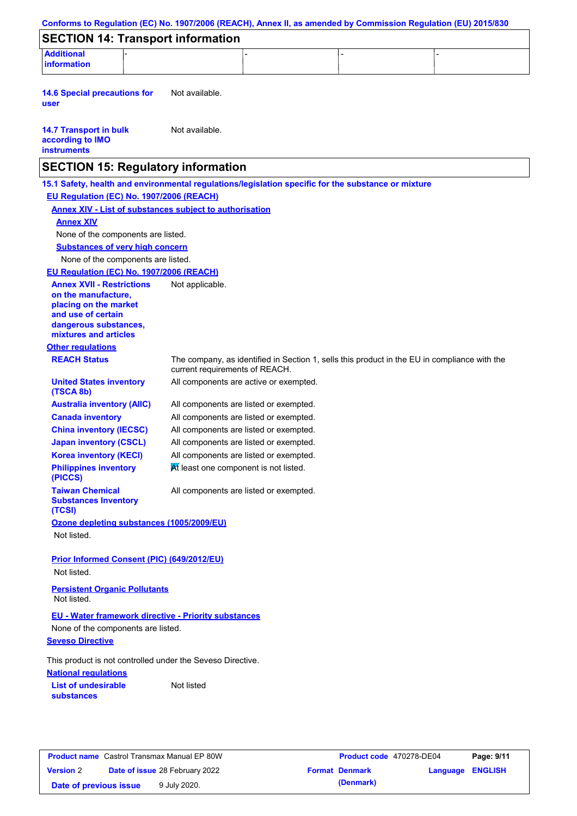| <b>SECTION 14: Transport information</b>                                                                                                                 |                                                                                 |  |                                                                                              |  |
|----------------------------------------------------------------------------------------------------------------------------------------------------------|---------------------------------------------------------------------------------|--|----------------------------------------------------------------------------------------------|--|
| <b>Additional</b><br>information                                                                                                                         |                                                                                 |  |                                                                                              |  |
| <b>14.6 Special precautions for</b><br>user                                                                                                              | Not available.                                                                  |  |                                                                                              |  |
| <b>14.7 Transport in bulk</b><br>according to IMO<br><b>instruments</b>                                                                                  | Not available.                                                                  |  |                                                                                              |  |
| <b>SECTION 15: Regulatory information</b>                                                                                                                |                                                                                 |  |                                                                                              |  |
| 15.1 Safety, health and environmental regulations/legislation specific for the substance or mixture                                                      |                                                                                 |  |                                                                                              |  |
| EU Regulation (EC) No. 1907/2006 (REACH)                                                                                                                 |                                                                                 |  |                                                                                              |  |
| <b>Annex XIV - List of substances subject to authorisation</b>                                                                                           |                                                                                 |  |                                                                                              |  |
| <b>Annex XIV</b>                                                                                                                                         |                                                                                 |  |                                                                                              |  |
| None of the components are listed.                                                                                                                       |                                                                                 |  |                                                                                              |  |
| <b>Substances of very high concern</b>                                                                                                                   |                                                                                 |  |                                                                                              |  |
| None of the components are listed.                                                                                                                       |                                                                                 |  |                                                                                              |  |
| EU Regulation (EC) No. 1907/2006 (REACH)                                                                                                                 |                                                                                 |  |                                                                                              |  |
| <b>Annex XVII - Restrictions</b><br>on the manufacture,<br>placing on the market<br>and use of certain<br>dangerous substances,<br>mixtures and articles | Not applicable.                                                                 |  |                                                                                              |  |
| <b>Other regulations</b>                                                                                                                                 |                                                                                 |  |                                                                                              |  |
| <b>REACH Status</b>                                                                                                                                      | current requirements of REACH.                                                  |  | The company, as identified in Section 1, sells this product in the EU in compliance with the |  |
| <b>United States inventory</b><br>(TSCA 8b)                                                                                                              | All components are active or exempted.                                          |  |                                                                                              |  |
| <b>Australia inventory (AIIC)</b>                                                                                                                        | All components are listed or exempted.                                          |  |                                                                                              |  |
| <b>Canada inventory</b>                                                                                                                                  | All components are listed or exempted.                                          |  |                                                                                              |  |
| <b>China inventory (IECSC)</b>                                                                                                                           | All components are listed or exempted.                                          |  |                                                                                              |  |
| <b>Japan inventory (CSCL)</b>                                                                                                                            | All components are listed or exempted.                                          |  |                                                                                              |  |
| <b>Korea inventory (KECI)</b><br><b>Philippines inventory</b><br>(PICCS)                                                                                 | All components are listed or exempted.<br>At least one component is not listed. |  |                                                                                              |  |
| <b>Taiwan Chemical</b><br><b>Substances Inventory</b>                                                                                                    | All components are listed or exempted.                                          |  |                                                                                              |  |
| (TCSI)<br>Ozone depleting substances (1005/2009/EU)<br>Not listed.                                                                                       |                                                                                 |  |                                                                                              |  |
| <b>Prior Informed Consent (PIC) (649/2012/EU)</b><br>Not listed.                                                                                         |                                                                                 |  |                                                                                              |  |
| <b>Persistent Organic Pollutants</b><br>Not listed.                                                                                                      |                                                                                 |  |                                                                                              |  |
| <b>EU - Water framework directive - Priority substances</b>                                                                                              |                                                                                 |  |                                                                                              |  |
| None of the components are listed.                                                                                                                       |                                                                                 |  |                                                                                              |  |
| <b>Seveso Directive</b>                                                                                                                                  |                                                                                 |  |                                                                                              |  |
| This product is not controlled under the Seveso Directive.<br><b>National regulations</b>                                                                |                                                                                 |  |                                                                                              |  |
| <b>List of undesirable</b>                                                                                                                               | Not listed                                                                      |  |                                                                                              |  |

|                        | <b>Product name</b> Castrol Transmax Manual EP 80W | Product code 470278-DE04 |                         | Page: 9/11 |
|------------------------|----------------------------------------------------|--------------------------|-------------------------|------------|
| <b>Version 2</b>       | <b>Date of issue 28 February 2022</b>              | <b>Format Denmark</b>    | <b>Language ENGLISH</b> |            |
| Date of previous issue | 9 July 2020.                                       | (Denmark)                |                         |            |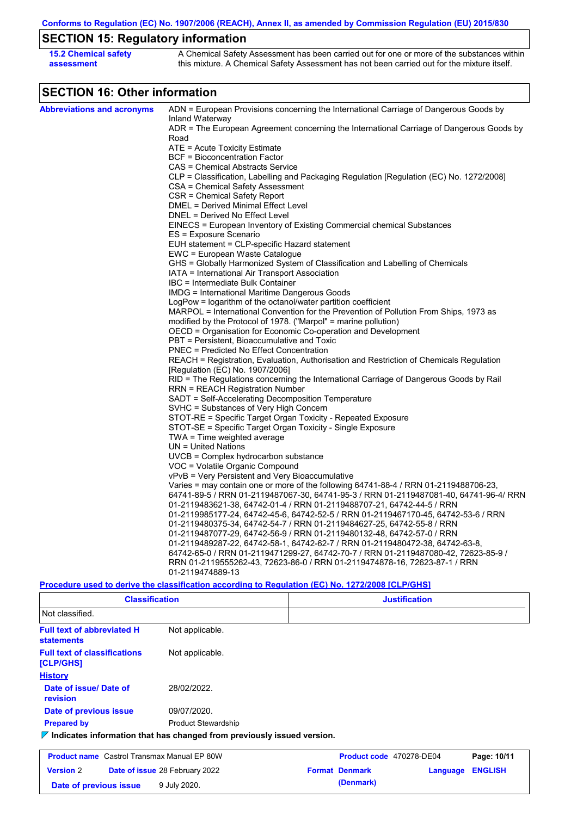**Conforms to Regulation (EC) No. 1907/2006 (REACH), Annex II, as amended by Commission Regulation (EU) 2015/830**

## **SECTION 15: Regulatory information**

| <b>15.2 Chemical safety</b> | A Chemical Safety Assessment has been carried out for one or more of the substances within  |
|-----------------------------|---------------------------------------------------------------------------------------------|
| assessment                  | this mixture. A Chemical Safety Assessment has not been carried out for the mixture itself. |

## **SECTION 16: Other information**

| ADN = European Provisions concerning the International Carriage of Dangerous Goods by<br>Inland Waterway<br>ADR = The European Agreement concerning the International Carriage of Dangerous Goods by<br>Road<br>$ATE =$ Acute Toxicity Estimate<br><b>BCF</b> = Bioconcentration Factor<br>CAS = Chemical Abstracts Service<br>CLP = Classification, Labelling and Packaging Regulation [Regulation (EC) No. 1272/2008]<br>CSA = Chemical Safety Assessment<br>CSR = Chemical Safety Report<br>DMEL = Derived Minimal Effect Level<br>DNEL = Derived No Effect Level<br>EINECS = European Inventory of Existing Commercial chemical Substances<br>ES = Exposure Scenario<br>EUH statement = CLP-specific Hazard statement<br>EWC = European Waste Catalogue<br>GHS = Globally Harmonized System of Classification and Labelling of Chemicals<br>IATA = International Air Transport Association<br>IBC = Intermediate Bulk Container<br>IMDG = International Maritime Dangerous Goods<br>LogPow = logarithm of the octanol/water partition coefficient<br>MARPOL = International Convention for the Prevention of Pollution From Ships, 1973 as<br>modified by the Protocol of 1978. ("Marpol" = marine pollution)<br>OECD = Organisation for Economic Co-operation and Development<br>PBT = Persistent, Bioaccumulative and Toxic<br><b>PNEC = Predicted No Effect Concentration</b><br>REACH = Registration, Evaluation, Authorisation and Restriction of Chemicals Regulation<br>[Regulation (EC) No. 1907/2006]<br>RID = The Regulations concerning the International Carriage of Dangerous Goods by Rail<br><b>RRN = REACH Registration Number</b><br>SADT = Self-Accelerating Decomposition Temperature<br>SVHC = Substances of Very High Concern<br>STOT-RE = Specific Target Organ Toxicity - Repeated Exposure<br>STOT-SE = Specific Target Organ Toxicity - Single Exposure<br>$TWA = Time$ weighted average<br>$UN = United Nations$<br>$UVCB = Complex\;hydrocarbon\; substance$<br>VOC = Volatile Organic Compound<br>vPvB = Very Persistent and Very Bioaccumulative<br>Varies = may contain one or more of the following $64741-88-4$ / RRN 01-2119488706-23,<br>64741-89-5 / RRN 01-2119487067-30, 64741-95-3 / RRN 01-2119487081-40, 64741-96-4/ RRN<br>01-2119483621-38, 64742-01-4 / RRN 01-2119488707-21, 64742-44-5 / RRN<br>01-2119985177-24, 64742-45-6, 64742-52-5 / RRN 01-2119467170-45, 64742-53-6 / RRN<br>01-2119480375-34, 64742-54-7 / RRN 01-2119484627-25, 64742-55-8 / RRN<br>01-2119487077-29, 64742-56-9 / RRN 01-2119480132-48, 64742-57-0 / RRN<br>01-2119489287-22, 64742-58-1, 64742-62-7 / RRN 01-2119480472-38, 64742-63-8,<br>64742-65-0 / RRN 01-2119471299-27, 64742-70-7 / RRN 01-2119487080-42, 72623-85-9 /<br>RRN 01-2119555262-43, 72623-86-0 / RRN 01-2119474878-16, 72623-87-1 / RRN<br>01-2119474889-13<br>Procedure used to derive the classification according to Regulation (EC) No. 1272/2008 [CLP/GHS] |                                   |  |  |  |  |  |
|-----------------------------------------------------------------------------------------------------------------------------------------------------------------------------------------------------------------------------------------------------------------------------------------------------------------------------------------------------------------------------------------------------------------------------------------------------------------------------------------------------------------------------------------------------------------------------------------------------------------------------------------------------------------------------------------------------------------------------------------------------------------------------------------------------------------------------------------------------------------------------------------------------------------------------------------------------------------------------------------------------------------------------------------------------------------------------------------------------------------------------------------------------------------------------------------------------------------------------------------------------------------------------------------------------------------------------------------------------------------------------------------------------------------------------------------------------------------------------------------------------------------------------------------------------------------------------------------------------------------------------------------------------------------------------------------------------------------------------------------------------------------------------------------------------------------------------------------------------------------------------------------------------------------------------------------------------------------------------------------------------------------------------------------------------------------------------------------------------------------------------------------------------------------------------------------------------------------------------------------------------------------------------------------------------------------------------------------------------------------------------------------------------------------------------------------------------------------------------------------------------------------------------------------------------------------------------------------------------------------------------------------------------------------------------------------------------------------------------------------------------------------------------------------------------------------------------------------------------------------------------------------------------------------------------------------------------------------|-----------------------------------|--|--|--|--|--|
|                                                                                                                                                                                                                                                                                                                                                                                                                                                                                                                                                                                                                                                                                                                                                                                                                                                                                                                                                                                                                                                                                                                                                                                                                                                                                                                                                                                                                                                                                                                                                                                                                                                                                                                                                                                                                                                                                                                                                                                                                                                                                                                                                                                                                                                                                                                                                                                                                                                                                                                                                                                                                                                                                                                                                                                                                                                                                                                                                                 | <b>Abbreviations and acronyms</b> |  |  |  |  |  |
|                                                                                                                                                                                                                                                                                                                                                                                                                                                                                                                                                                                                                                                                                                                                                                                                                                                                                                                                                                                                                                                                                                                                                                                                                                                                                                                                                                                                                                                                                                                                                                                                                                                                                                                                                                                                                                                                                                                                                                                                                                                                                                                                                                                                                                                                                                                                                                                                                                                                                                                                                                                                                                                                                                                                                                                                                                                                                                                                                                 |                                   |  |  |  |  |  |
|                                                                                                                                                                                                                                                                                                                                                                                                                                                                                                                                                                                                                                                                                                                                                                                                                                                                                                                                                                                                                                                                                                                                                                                                                                                                                                                                                                                                                                                                                                                                                                                                                                                                                                                                                                                                                                                                                                                                                                                                                                                                                                                                                                                                                                                                                                                                                                                                                                                                                                                                                                                                                                                                                                                                                                                                                                                                                                                                                                 |                                   |  |  |  |  |  |
|                                                                                                                                                                                                                                                                                                                                                                                                                                                                                                                                                                                                                                                                                                                                                                                                                                                                                                                                                                                                                                                                                                                                                                                                                                                                                                                                                                                                                                                                                                                                                                                                                                                                                                                                                                                                                                                                                                                                                                                                                                                                                                                                                                                                                                                                                                                                                                                                                                                                                                                                                                                                                                                                                                                                                                                                                                                                                                                                                                 |                                   |  |  |  |  |  |
|                                                                                                                                                                                                                                                                                                                                                                                                                                                                                                                                                                                                                                                                                                                                                                                                                                                                                                                                                                                                                                                                                                                                                                                                                                                                                                                                                                                                                                                                                                                                                                                                                                                                                                                                                                                                                                                                                                                                                                                                                                                                                                                                                                                                                                                                                                                                                                                                                                                                                                                                                                                                                                                                                                                                                                                                                                                                                                                                                                 |                                   |  |  |  |  |  |
|                                                                                                                                                                                                                                                                                                                                                                                                                                                                                                                                                                                                                                                                                                                                                                                                                                                                                                                                                                                                                                                                                                                                                                                                                                                                                                                                                                                                                                                                                                                                                                                                                                                                                                                                                                                                                                                                                                                                                                                                                                                                                                                                                                                                                                                                                                                                                                                                                                                                                                                                                                                                                                                                                                                                                                                                                                                                                                                                                                 |                                   |  |  |  |  |  |
|                                                                                                                                                                                                                                                                                                                                                                                                                                                                                                                                                                                                                                                                                                                                                                                                                                                                                                                                                                                                                                                                                                                                                                                                                                                                                                                                                                                                                                                                                                                                                                                                                                                                                                                                                                                                                                                                                                                                                                                                                                                                                                                                                                                                                                                                                                                                                                                                                                                                                                                                                                                                                                                                                                                                                                                                                                                                                                                                                                 |                                   |  |  |  |  |  |
|                                                                                                                                                                                                                                                                                                                                                                                                                                                                                                                                                                                                                                                                                                                                                                                                                                                                                                                                                                                                                                                                                                                                                                                                                                                                                                                                                                                                                                                                                                                                                                                                                                                                                                                                                                                                                                                                                                                                                                                                                                                                                                                                                                                                                                                                                                                                                                                                                                                                                                                                                                                                                                                                                                                                                                                                                                                                                                                                                                 |                                   |  |  |  |  |  |
|                                                                                                                                                                                                                                                                                                                                                                                                                                                                                                                                                                                                                                                                                                                                                                                                                                                                                                                                                                                                                                                                                                                                                                                                                                                                                                                                                                                                                                                                                                                                                                                                                                                                                                                                                                                                                                                                                                                                                                                                                                                                                                                                                                                                                                                                                                                                                                                                                                                                                                                                                                                                                                                                                                                                                                                                                                                                                                                                                                 |                                   |  |  |  |  |  |
|                                                                                                                                                                                                                                                                                                                                                                                                                                                                                                                                                                                                                                                                                                                                                                                                                                                                                                                                                                                                                                                                                                                                                                                                                                                                                                                                                                                                                                                                                                                                                                                                                                                                                                                                                                                                                                                                                                                                                                                                                                                                                                                                                                                                                                                                                                                                                                                                                                                                                                                                                                                                                                                                                                                                                                                                                                                                                                                                                                 |                                   |  |  |  |  |  |
|                                                                                                                                                                                                                                                                                                                                                                                                                                                                                                                                                                                                                                                                                                                                                                                                                                                                                                                                                                                                                                                                                                                                                                                                                                                                                                                                                                                                                                                                                                                                                                                                                                                                                                                                                                                                                                                                                                                                                                                                                                                                                                                                                                                                                                                                                                                                                                                                                                                                                                                                                                                                                                                                                                                                                                                                                                                                                                                                                                 |                                   |  |  |  |  |  |
|                                                                                                                                                                                                                                                                                                                                                                                                                                                                                                                                                                                                                                                                                                                                                                                                                                                                                                                                                                                                                                                                                                                                                                                                                                                                                                                                                                                                                                                                                                                                                                                                                                                                                                                                                                                                                                                                                                                                                                                                                                                                                                                                                                                                                                                                                                                                                                                                                                                                                                                                                                                                                                                                                                                                                                                                                                                                                                                                                                 |                                   |  |  |  |  |  |
|                                                                                                                                                                                                                                                                                                                                                                                                                                                                                                                                                                                                                                                                                                                                                                                                                                                                                                                                                                                                                                                                                                                                                                                                                                                                                                                                                                                                                                                                                                                                                                                                                                                                                                                                                                                                                                                                                                                                                                                                                                                                                                                                                                                                                                                                                                                                                                                                                                                                                                                                                                                                                                                                                                                                                                                                                                                                                                                                                                 |                                   |  |  |  |  |  |
|                                                                                                                                                                                                                                                                                                                                                                                                                                                                                                                                                                                                                                                                                                                                                                                                                                                                                                                                                                                                                                                                                                                                                                                                                                                                                                                                                                                                                                                                                                                                                                                                                                                                                                                                                                                                                                                                                                                                                                                                                                                                                                                                                                                                                                                                                                                                                                                                                                                                                                                                                                                                                                                                                                                                                                                                                                                                                                                                                                 |                                   |  |  |  |  |  |
|                                                                                                                                                                                                                                                                                                                                                                                                                                                                                                                                                                                                                                                                                                                                                                                                                                                                                                                                                                                                                                                                                                                                                                                                                                                                                                                                                                                                                                                                                                                                                                                                                                                                                                                                                                                                                                                                                                                                                                                                                                                                                                                                                                                                                                                                                                                                                                                                                                                                                                                                                                                                                                                                                                                                                                                                                                                                                                                                                                 |                                   |  |  |  |  |  |
|                                                                                                                                                                                                                                                                                                                                                                                                                                                                                                                                                                                                                                                                                                                                                                                                                                                                                                                                                                                                                                                                                                                                                                                                                                                                                                                                                                                                                                                                                                                                                                                                                                                                                                                                                                                                                                                                                                                                                                                                                                                                                                                                                                                                                                                                                                                                                                                                                                                                                                                                                                                                                                                                                                                                                                                                                                                                                                                                                                 |                                   |  |  |  |  |  |
|                                                                                                                                                                                                                                                                                                                                                                                                                                                                                                                                                                                                                                                                                                                                                                                                                                                                                                                                                                                                                                                                                                                                                                                                                                                                                                                                                                                                                                                                                                                                                                                                                                                                                                                                                                                                                                                                                                                                                                                                                                                                                                                                                                                                                                                                                                                                                                                                                                                                                                                                                                                                                                                                                                                                                                                                                                                                                                                                                                 |                                   |  |  |  |  |  |
|                                                                                                                                                                                                                                                                                                                                                                                                                                                                                                                                                                                                                                                                                                                                                                                                                                                                                                                                                                                                                                                                                                                                                                                                                                                                                                                                                                                                                                                                                                                                                                                                                                                                                                                                                                                                                                                                                                                                                                                                                                                                                                                                                                                                                                                                                                                                                                                                                                                                                                                                                                                                                                                                                                                                                                                                                                                                                                                                                                 |                                   |  |  |  |  |  |
|                                                                                                                                                                                                                                                                                                                                                                                                                                                                                                                                                                                                                                                                                                                                                                                                                                                                                                                                                                                                                                                                                                                                                                                                                                                                                                                                                                                                                                                                                                                                                                                                                                                                                                                                                                                                                                                                                                                                                                                                                                                                                                                                                                                                                                                                                                                                                                                                                                                                                                                                                                                                                                                                                                                                                                                                                                                                                                                                                                 |                                   |  |  |  |  |  |
|                                                                                                                                                                                                                                                                                                                                                                                                                                                                                                                                                                                                                                                                                                                                                                                                                                                                                                                                                                                                                                                                                                                                                                                                                                                                                                                                                                                                                                                                                                                                                                                                                                                                                                                                                                                                                                                                                                                                                                                                                                                                                                                                                                                                                                                                                                                                                                                                                                                                                                                                                                                                                                                                                                                                                                                                                                                                                                                                                                 |                                   |  |  |  |  |  |
|                                                                                                                                                                                                                                                                                                                                                                                                                                                                                                                                                                                                                                                                                                                                                                                                                                                                                                                                                                                                                                                                                                                                                                                                                                                                                                                                                                                                                                                                                                                                                                                                                                                                                                                                                                                                                                                                                                                                                                                                                                                                                                                                                                                                                                                                                                                                                                                                                                                                                                                                                                                                                                                                                                                                                                                                                                                                                                                                                                 |                                   |  |  |  |  |  |
|                                                                                                                                                                                                                                                                                                                                                                                                                                                                                                                                                                                                                                                                                                                                                                                                                                                                                                                                                                                                                                                                                                                                                                                                                                                                                                                                                                                                                                                                                                                                                                                                                                                                                                                                                                                                                                                                                                                                                                                                                                                                                                                                                                                                                                                                                                                                                                                                                                                                                                                                                                                                                                                                                                                                                                                                                                                                                                                                                                 |                                   |  |  |  |  |  |
|                                                                                                                                                                                                                                                                                                                                                                                                                                                                                                                                                                                                                                                                                                                                                                                                                                                                                                                                                                                                                                                                                                                                                                                                                                                                                                                                                                                                                                                                                                                                                                                                                                                                                                                                                                                                                                                                                                                                                                                                                                                                                                                                                                                                                                                                                                                                                                                                                                                                                                                                                                                                                                                                                                                                                                                                                                                                                                                                                                 |                                   |  |  |  |  |  |
|                                                                                                                                                                                                                                                                                                                                                                                                                                                                                                                                                                                                                                                                                                                                                                                                                                                                                                                                                                                                                                                                                                                                                                                                                                                                                                                                                                                                                                                                                                                                                                                                                                                                                                                                                                                                                                                                                                                                                                                                                                                                                                                                                                                                                                                                                                                                                                                                                                                                                                                                                                                                                                                                                                                                                                                                                                                                                                                                                                 |                                   |  |  |  |  |  |
|                                                                                                                                                                                                                                                                                                                                                                                                                                                                                                                                                                                                                                                                                                                                                                                                                                                                                                                                                                                                                                                                                                                                                                                                                                                                                                                                                                                                                                                                                                                                                                                                                                                                                                                                                                                                                                                                                                                                                                                                                                                                                                                                                                                                                                                                                                                                                                                                                                                                                                                                                                                                                                                                                                                                                                                                                                                                                                                                                                 |                                   |  |  |  |  |  |
|                                                                                                                                                                                                                                                                                                                                                                                                                                                                                                                                                                                                                                                                                                                                                                                                                                                                                                                                                                                                                                                                                                                                                                                                                                                                                                                                                                                                                                                                                                                                                                                                                                                                                                                                                                                                                                                                                                                                                                                                                                                                                                                                                                                                                                                                                                                                                                                                                                                                                                                                                                                                                                                                                                                                                                                                                                                                                                                                                                 |                                   |  |  |  |  |  |
|                                                                                                                                                                                                                                                                                                                                                                                                                                                                                                                                                                                                                                                                                                                                                                                                                                                                                                                                                                                                                                                                                                                                                                                                                                                                                                                                                                                                                                                                                                                                                                                                                                                                                                                                                                                                                                                                                                                                                                                                                                                                                                                                                                                                                                                                                                                                                                                                                                                                                                                                                                                                                                                                                                                                                                                                                                                                                                                                                                 |                                   |  |  |  |  |  |
|                                                                                                                                                                                                                                                                                                                                                                                                                                                                                                                                                                                                                                                                                                                                                                                                                                                                                                                                                                                                                                                                                                                                                                                                                                                                                                                                                                                                                                                                                                                                                                                                                                                                                                                                                                                                                                                                                                                                                                                                                                                                                                                                                                                                                                                                                                                                                                                                                                                                                                                                                                                                                                                                                                                                                                                                                                                                                                                                                                 |                                   |  |  |  |  |  |
|                                                                                                                                                                                                                                                                                                                                                                                                                                                                                                                                                                                                                                                                                                                                                                                                                                                                                                                                                                                                                                                                                                                                                                                                                                                                                                                                                                                                                                                                                                                                                                                                                                                                                                                                                                                                                                                                                                                                                                                                                                                                                                                                                                                                                                                                                                                                                                                                                                                                                                                                                                                                                                                                                                                                                                                                                                                                                                                                                                 |                                   |  |  |  |  |  |
|                                                                                                                                                                                                                                                                                                                                                                                                                                                                                                                                                                                                                                                                                                                                                                                                                                                                                                                                                                                                                                                                                                                                                                                                                                                                                                                                                                                                                                                                                                                                                                                                                                                                                                                                                                                                                                                                                                                                                                                                                                                                                                                                                                                                                                                                                                                                                                                                                                                                                                                                                                                                                                                                                                                                                                                                                                                                                                                                                                 |                                   |  |  |  |  |  |
|                                                                                                                                                                                                                                                                                                                                                                                                                                                                                                                                                                                                                                                                                                                                                                                                                                                                                                                                                                                                                                                                                                                                                                                                                                                                                                                                                                                                                                                                                                                                                                                                                                                                                                                                                                                                                                                                                                                                                                                                                                                                                                                                                                                                                                                                                                                                                                                                                                                                                                                                                                                                                                                                                                                                                                                                                                                                                                                                                                 |                                   |  |  |  |  |  |
|                                                                                                                                                                                                                                                                                                                                                                                                                                                                                                                                                                                                                                                                                                                                                                                                                                                                                                                                                                                                                                                                                                                                                                                                                                                                                                                                                                                                                                                                                                                                                                                                                                                                                                                                                                                                                                                                                                                                                                                                                                                                                                                                                                                                                                                                                                                                                                                                                                                                                                                                                                                                                                                                                                                                                                                                                                                                                                                                                                 |                                   |  |  |  |  |  |
|                                                                                                                                                                                                                                                                                                                                                                                                                                                                                                                                                                                                                                                                                                                                                                                                                                                                                                                                                                                                                                                                                                                                                                                                                                                                                                                                                                                                                                                                                                                                                                                                                                                                                                                                                                                                                                                                                                                                                                                                                                                                                                                                                                                                                                                                                                                                                                                                                                                                                                                                                                                                                                                                                                                                                                                                                                                                                                                                                                 |                                   |  |  |  |  |  |
|                                                                                                                                                                                                                                                                                                                                                                                                                                                                                                                                                                                                                                                                                                                                                                                                                                                                                                                                                                                                                                                                                                                                                                                                                                                                                                                                                                                                                                                                                                                                                                                                                                                                                                                                                                                                                                                                                                                                                                                                                                                                                                                                                                                                                                                                                                                                                                                                                                                                                                                                                                                                                                                                                                                                                                                                                                                                                                                                                                 |                                   |  |  |  |  |  |
|                                                                                                                                                                                                                                                                                                                                                                                                                                                                                                                                                                                                                                                                                                                                                                                                                                                                                                                                                                                                                                                                                                                                                                                                                                                                                                                                                                                                                                                                                                                                                                                                                                                                                                                                                                                                                                                                                                                                                                                                                                                                                                                                                                                                                                                                                                                                                                                                                                                                                                                                                                                                                                                                                                                                                                                                                                                                                                                                                                 |                                   |  |  |  |  |  |
|                                                                                                                                                                                                                                                                                                                                                                                                                                                                                                                                                                                                                                                                                                                                                                                                                                                                                                                                                                                                                                                                                                                                                                                                                                                                                                                                                                                                                                                                                                                                                                                                                                                                                                                                                                                                                                                                                                                                                                                                                                                                                                                                                                                                                                                                                                                                                                                                                                                                                                                                                                                                                                                                                                                                                                                                                                                                                                                                                                 |                                   |  |  |  |  |  |
|                                                                                                                                                                                                                                                                                                                                                                                                                                                                                                                                                                                                                                                                                                                                                                                                                                                                                                                                                                                                                                                                                                                                                                                                                                                                                                                                                                                                                                                                                                                                                                                                                                                                                                                                                                                                                                                                                                                                                                                                                                                                                                                                                                                                                                                                                                                                                                                                                                                                                                                                                                                                                                                                                                                                                                                                                                                                                                                                                                 |                                   |  |  |  |  |  |
|                                                                                                                                                                                                                                                                                                                                                                                                                                                                                                                                                                                                                                                                                                                                                                                                                                                                                                                                                                                                                                                                                                                                                                                                                                                                                                                                                                                                                                                                                                                                                                                                                                                                                                                                                                                                                                                                                                                                                                                                                                                                                                                                                                                                                                                                                                                                                                                                                                                                                                                                                                                                                                                                                                                                                                                                                                                                                                                                                                 |                                   |  |  |  |  |  |
|                                                                                                                                                                                                                                                                                                                                                                                                                                                                                                                                                                                                                                                                                                                                                                                                                                                                                                                                                                                                                                                                                                                                                                                                                                                                                                                                                                                                                                                                                                                                                                                                                                                                                                                                                                                                                                                                                                                                                                                                                                                                                                                                                                                                                                                                                                                                                                                                                                                                                                                                                                                                                                                                                                                                                                                                                                                                                                                                                                 |                                   |  |  |  |  |  |
|                                                                                                                                                                                                                                                                                                                                                                                                                                                                                                                                                                                                                                                                                                                                                                                                                                                                                                                                                                                                                                                                                                                                                                                                                                                                                                                                                                                                                                                                                                                                                                                                                                                                                                                                                                                                                                                                                                                                                                                                                                                                                                                                                                                                                                                                                                                                                                                                                                                                                                                                                                                                                                                                                                                                                                                                                                                                                                                                                                 |                                   |  |  |  |  |  |
|                                                                                                                                                                                                                                                                                                                                                                                                                                                                                                                                                                                                                                                                                                                                                                                                                                                                                                                                                                                                                                                                                                                                                                                                                                                                                                                                                                                                                                                                                                                                                                                                                                                                                                                                                                                                                                                                                                                                                                                                                                                                                                                                                                                                                                                                                                                                                                                                                                                                                                                                                                                                                                                                                                                                                                                                                                                                                                                                                                 |                                   |  |  |  |  |  |
|                                                                                                                                                                                                                                                                                                                                                                                                                                                                                                                                                                                                                                                                                                                                                                                                                                                                                                                                                                                                                                                                                                                                                                                                                                                                                                                                                                                                                                                                                                                                                                                                                                                                                                                                                                                                                                                                                                                                                                                                                                                                                                                                                                                                                                                                                                                                                                                                                                                                                                                                                                                                                                                                                                                                                                                                                                                                                                                                                                 |                                   |  |  |  |  |  |
|                                                                                                                                                                                                                                                                                                                                                                                                                                                                                                                                                                                                                                                                                                                                                                                                                                                                                                                                                                                                                                                                                                                                                                                                                                                                                                                                                                                                                                                                                                                                                                                                                                                                                                                                                                                                                                                                                                                                                                                                                                                                                                                                                                                                                                                                                                                                                                                                                                                                                                                                                                                                                                                                                                                                                                                                                                                                                                                                                                 |                                   |  |  |  |  |  |
|                                                                                                                                                                                                                                                                                                                                                                                                                                                                                                                                                                                                                                                                                                                                                                                                                                                                                                                                                                                                                                                                                                                                                                                                                                                                                                                                                                                                                                                                                                                                                                                                                                                                                                                                                                                                                                                                                                                                                                                                                                                                                                                                                                                                                                                                                                                                                                                                                                                                                                                                                                                                                                                                                                                                                                                                                                                                                                                                                                 |                                   |  |  |  |  |  |
|                                                                                                                                                                                                                                                                                                                                                                                                                                                                                                                                                                                                                                                                                                                                                                                                                                                                                                                                                                                                                                                                                                                                                                                                                                                                                                                                                                                                                                                                                                                                                                                                                                                                                                                                                                                                                                                                                                                                                                                                                                                                                                                                                                                                                                                                                                                                                                                                                                                                                                                                                                                                                                                                                                                                                                                                                                                                                                                                                                 |                                   |  |  |  |  |  |
|                                                                                                                                                                                                                                                                                                                                                                                                                                                                                                                                                                                                                                                                                                                                                                                                                                                                                                                                                                                                                                                                                                                                                                                                                                                                                                                                                                                                                                                                                                                                                                                                                                                                                                                                                                                                                                                                                                                                                                                                                                                                                                                                                                                                                                                                                                                                                                                                                                                                                                                                                                                                                                                                                                                                                                                                                                                                                                                                                                 |                                   |  |  |  |  |  |
|                                                                                                                                                                                                                                                                                                                                                                                                                                                                                                                                                                                                                                                                                                                                                                                                                                                                                                                                                                                                                                                                                                                                                                                                                                                                                                                                                                                                                                                                                                                                                                                                                                                                                                                                                                                                                                                                                                                                                                                                                                                                                                                                                                                                                                                                                                                                                                                                                                                                                                                                                                                                                                                                                                                                                                                                                                                                                                                                                                 |                                   |  |  |  |  |  |
|                                                                                                                                                                                                                                                                                                                                                                                                                                                                                                                                                                                                                                                                                                                                                                                                                                                                                                                                                                                                                                                                                                                                                                                                                                                                                                                                                                                                                                                                                                                                                                                                                                                                                                                                                                                                                                                                                                                                                                                                                                                                                                                                                                                                                                                                                                                                                                                                                                                                                                                                                                                                                                                                                                                                                                                                                                                                                                                                                                 |                                   |  |  |  |  |  |

**Date of previous issue 9 July 2020. (Denmark) (Denmark)** 

| <b>Classification</b>                                  |                                                                                 | <b>Justification</b>     |          |                |
|--------------------------------------------------------|---------------------------------------------------------------------------------|--------------------------|----------|----------------|
| Not classified.                                        |                                                                                 |                          |          |                |
| <b>Full text of abbreviated H</b><br><b>statements</b> | Not applicable.                                                                 |                          |          |                |
| <b>Full text of classifications</b><br>[CLP/GHS]       | Not applicable.                                                                 |                          |          |                |
| <b>History</b>                                         |                                                                                 |                          |          |                |
| Date of issue/Date of<br>revision                      | 28/02/2022.                                                                     |                          |          |                |
| Date of previous issue                                 | 09/07/2020.                                                                     |                          |          |                |
| <b>Prepared by</b>                                     | <b>Product Stewardship</b>                                                      |                          |          |                |
|                                                        | $\nabla$ Indicates information that has changed from previously issued version. |                          |          |                |
| <b>Product name</b> Castrol Transmax Manual EP 80W     |                                                                                 | Product code 470278-DE04 |          | Page: 10/11    |
| <b>Version 2</b>                                       | Date of issue 28 February 2022                                                  | <b>Format Denmark</b>    | Language | <b>ENGLISH</b> |